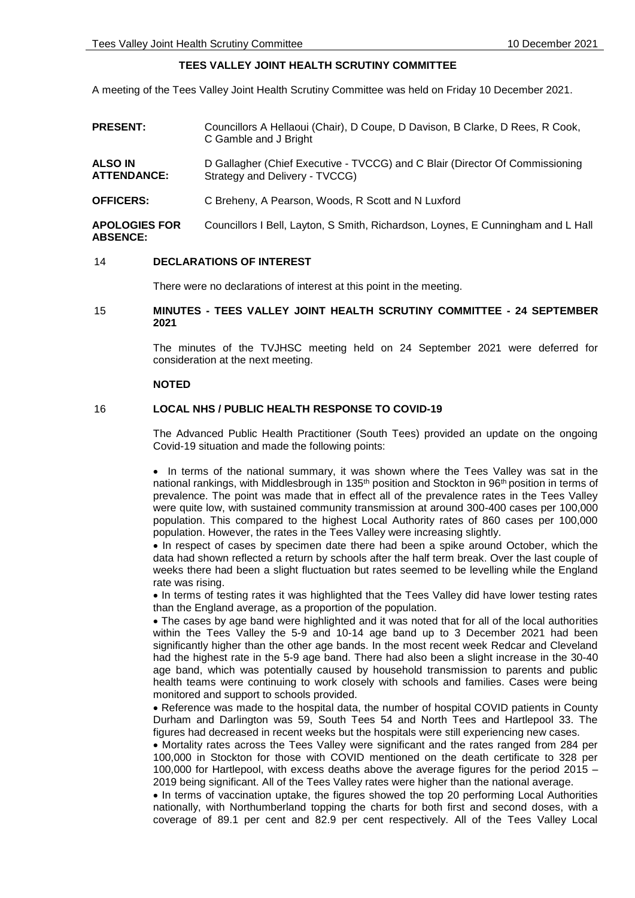# **TEES VALLEY JOINT HEALTH SCRUTINY COMMITTEE**

A meeting of the Tees Valley Joint Health Scrutiny Committee was held on Friday 10 December 2021.

**PRESENT:** Councillors A Hellaoui (Chair), D Coupe, D Davison, B Clarke, D Rees, R Cook, C Gamble and J Bright **ALSO IN ATTENDANCE:** D Gallagher (Chief Executive - TVCCG) and C Blair (Director Of Commissioning Strategy and Delivery - TVCCG) **OFFICERS:** C Breheny, A Pearson, Woods, R Scott and N Luxford **APOLOGIES FOR ABSENCE:** Councillors I Bell, Layton, S Smith, Richardson, Loynes, E Cunningham and L Hall

### 14 **DECLARATIONS OF INTEREST**

There were no declarations of interest at this point in the meeting.

# 15 **MINUTES - TEES VALLEY JOINT HEALTH SCRUTINY COMMITTEE - 24 SEPTEMBER 2021**

The minutes of the TVJHSC meeting held on 24 September 2021 were deferred for consideration at the next meeting.

#### **NOTED**

### 16 **LOCAL NHS / PUBLIC HEALTH RESPONSE TO COVID-19**

The Advanced Public Health Practitioner (South Tees) provided an update on the ongoing Covid-19 situation and made the following points:

• In terms of the national summary, it was shown where the Tees Valley was sat in the national rankings, with Middlesbrough in 135<sup>th</sup> position and Stockton in 96<sup>th</sup> position in terms of prevalence. The point was made that in effect all of the prevalence rates in the Tees Valley were quite low, with sustained community transmission at around 300-400 cases per 100,000 population. This compared to the highest Local Authority rates of 860 cases per 100,000 population. However, the rates in the Tees Valley were increasing slightly.

 In respect of cases by specimen date there had been a spike around October, which the data had shown reflected a return by schools after the half term break. Over the last couple of weeks there had been a slight fluctuation but rates seemed to be levelling while the England rate was rising.

• In terms of testing rates it was highlighted that the Tees Valley did have lower testing rates than the England average, as a proportion of the population.

 The cases by age band were highlighted and it was noted that for all of the local authorities within the Tees Valley the 5-9 and 10-14 age band up to 3 December 2021 had been significantly higher than the other age bands. In the most recent week Redcar and Cleveland had the highest rate in the 5-9 age band. There had also been a slight increase in the 30-40 age band, which was potentially caused by household transmission to parents and public health teams were continuing to work closely with schools and families. Cases were being monitored and support to schools provided.

 Reference was made to the hospital data, the number of hospital COVID patients in County Durham and Darlington was 59, South Tees 54 and North Tees and Hartlepool 33. The figures had decreased in recent weeks but the hospitals were still experiencing new cases.

• Mortality rates across the Tees Valley were significant and the rates ranged from 284 per 100,000 in Stockton for those with COVID mentioned on the death certificate to 328 per 100,000 for Hartlepool, with excess deaths above the average figures for the period 2015 – 2019 being significant. All of the Tees Valley rates were higher than the national average.

• In terms of vaccination uptake, the figures showed the top 20 performing Local Authorities nationally, with Northumberland topping the charts for both first and second doses, with a coverage of 89.1 per cent and 82.9 per cent respectively. All of the Tees Valley Local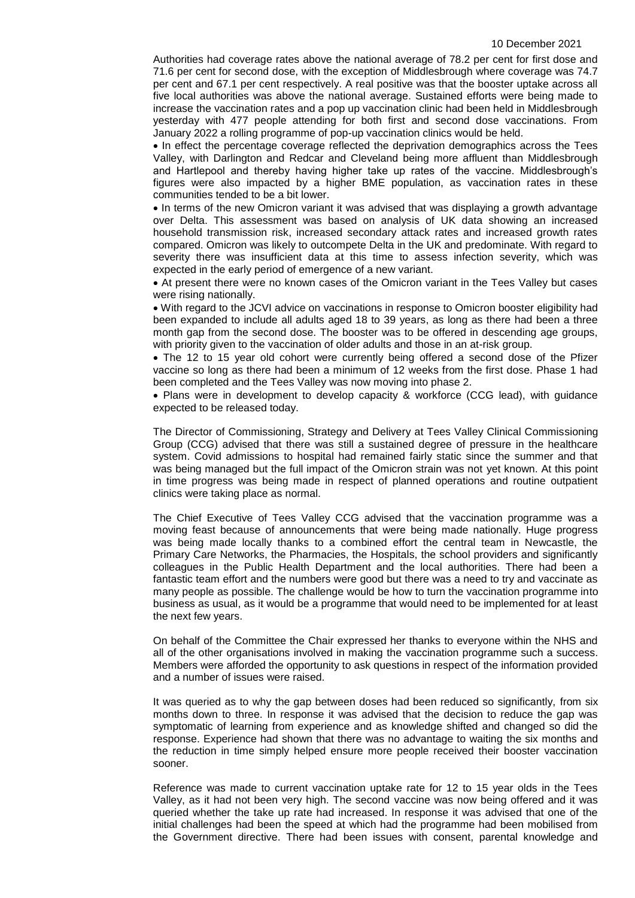Authorities had coverage rates above the national average of 78.2 per cent for first dose and 71.6 per cent for second dose, with the exception of Middlesbrough where coverage was 74.7 per cent and 67.1 per cent respectively. A real positive was that the booster uptake across all five local authorities was above the national average. Sustained efforts were being made to increase the vaccination rates and a pop up vaccination clinic had been held in Middlesbrough yesterday with 477 people attending for both first and second dose vaccinations. From January 2022 a rolling programme of pop-up vaccination clinics would be held.

• In effect the percentage coverage reflected the deprivation demographics across the Tees Valley, with Darlington and Redcar and Cleveland being more affluent than Middlesbrough and Hartlepool and thereby having higher take up rates of the vaccine. Middlesbrough's figures were also impacted by a higher BME population, as vaccination rates in these communities tended to be a bit lower.

• In terms of the new Omicron variant it was advised that was displaying a growth advantage over Delta. This assessment was based on analysis of UK data showing an increased household transmission risk, increased secondary attack rates and increased growth rates compared. Omicron was likely to outcompete Delta in the UK and predominate. With regard to severity there was insufficient data at this time to assess infection severity, which was expected in the early period of emergence of a new variant.

 At present there were no known cases of the Omicron variant in the Tees Valley but cases were rising nationally.

 With regard to the JCVI advice on vaccinations in response to Omicron booster eligibility had been expanded to include all adults aged 18 to 39 years, as long as there had been a three month gap from the second dose. The booster was to be offered in descending age groups, with priority given to the vaccination of older adults and those in an at-risk group.

• The 12 to 15 year old cohort were currently being offered a second dose of the Pfizer vaccine so long as there had been a minimum of 12 weeks from the first dose. Phase 1 had been completed and the Tees Valley was now moving into phase 2.

• Plans were in development to develop capacity & workforce (CCG lead), with quidance expected to be released today.

The Director of Commissioning, Strategy and Delivery at Tees Valley Clinical Commissioning Group (CCG) advised that there was still a sustained degree of pressure in the healthcare system. Covid admissions to hospital had remained fairly static since the summer and that was being managed but the full impact of the Omicron strain was not yet known. At this point in time progress was being made in respect of planned operations and routine outpatient clinics were taking place as normal.

The Chief Executive of Tees Valley CCG advised that the vaccination programme was a moving feast because of announcements that were being made nationally. Huge progress was being made locally thanks to a combined effort the central team in Newcastle, the Primary Care Networks, the Pharmacies, the Hospitals, the school providers and significantly colleagues in the Public Health Department and the local authorities. There had been a fantastic team effort and the numbers were good but there was a need to try and vaccinate as many people as possible. The challenge would be how to turn the vaccination programme into business as usual, as it would be a programme that would need to be implemented for at least the next few years.

On behalf of the Committee the Chair expressed her thanks to everyone within the NHS and all of the other organisations involved in making the vaccination programme such a success. Members were afforded the opportunity to ask questions in respect of the information provided and a number of issues were raised.

It was queried as to why the gap between doses had been reduced so significantly, from six months down to three. In response it was advised that the decision to reduce the gap was symptomatic of learning from experience and as knowledge shifted and changed so did the response. Experience had shown that there was no advantage to waiting the six months and the reduction in time simply helped ensure more people received their booster vaccination sooner.

Reference was made to current vaccination uptake rate for 12 to 15 year olds in the Tees Valley, as it had not been very high. The second vaccine was now being offered and it was queried whether the take up rate had increased. In response it was advised that one of the initial challenges had been the speed at which had the programme had been mobilised from the Government directive. There had been issues with consent, parental knowledge and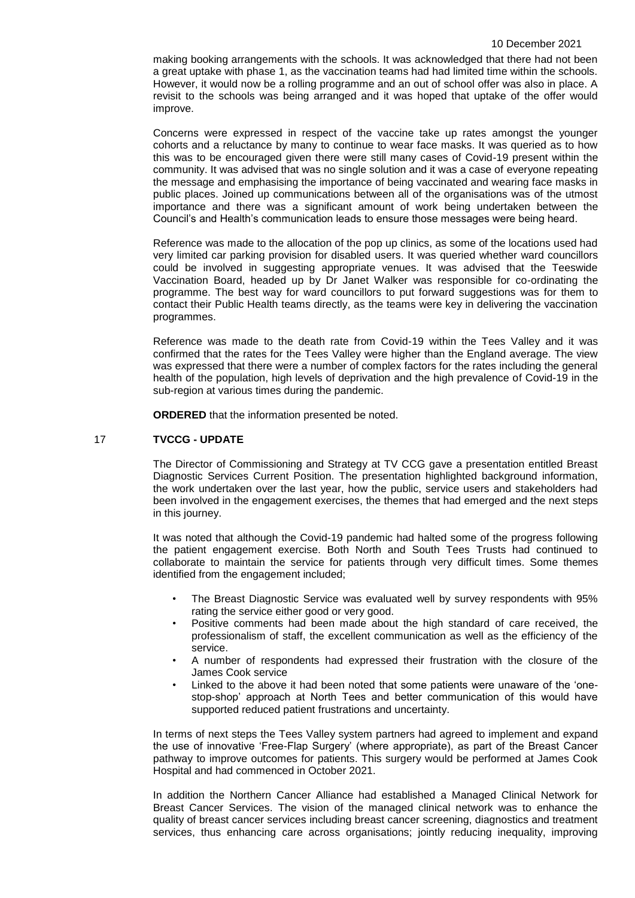making booking arrangements with the schools. It was acknowledged that there had not been a great uptake with phase 1, as the vaccination teams had had limited time within the schools. However, it would now be a rolling programme and an out of school offer was also in place. A revisit to the schools was being arranged and it was hoped that uptake of the offer would improve.

Concerns were expressed in respect of the vaccine take up rates amongst the younger cohorts and a reluctance by many to continue to wear face masks. It was queried as to how this was to be encouraged given there were still many cases of Covid-19 present within the community. It was advised that was no single solution and it was a case of everyone repeating the message and emphasising the importance of being vaccinated and wearing face masks in public places. Joined up communications between all of the organisations was of the utmost importance and there was a significant amount of work being undertaken between the Council's and Health's communication leads to ensure those messages were being heard.

Reference was made to the allocation of the pop up clinics, as some of the locations used had very limited car parking provision for disabled users. It was queried whether ward councillors could be involved in suggesting appropriate venues. It was advised that the Teeswide Vaccination Board, headed up by Dr Janet Walker was responsible for co-ordinating the programme. The best way for ward councillors to put forward suggestions was for them to contact their Public Health teams directly, as the teams were key in delivering the vaccination programmes.

Reference was made to the death rate from Covid-19 within the Tees Valley and it was confirmed that the rates for the Tees Valley were higher than the England average. The view was expressed that there were a number of complex factors for the rates including the general health of the population, high levels of deprivation and the high prevalence of Covid-19 in the sub-region at various times during the pandemic.

**ORDERED** that the information presented be noted.

# 17 **TVCCG - UPDATE**

The Director of Commissioning and Strategy at TV CCG gave a presentation entitled Breast Diagnostic Services Current Position. The presentation highlighted background information, the work undertaken over the last year, how the public, service users and stakeholders had been involved in the engagement exercises, the themes that had emerged and the next steps in this journey.

It was noted that although the Covid-19 pandemic had halted some of the progress following the patient engagement exercise. Both North and South Tees Trusts had continued to collaborate to maintain the service for patients through very difficult times. Some themes identified from the engagement included;

- The Breast Diagnostic Service was evaluated well by survey respondents with 95% rating the service either good or very good.
- Positive comments had been made about the high standard of care received, the professionalism of staff, the excellent communication as well as the efficiency of the service.
- A number of respondents had expressed their frustration with the closure of the James Cook service
- Linked to the above it had been noted that some patients were unaware of the 'onestop-shop' approach at North Tees and better communication of this would have supported reduced patient frustrations and uncertainty.

In terms of next steps the Tees Valley system partners had agreed to implement and expand the use of innovative 'Free-Flap Surgery' (where appropriate), as part of the Breast Cancer pathway to improve outcomes for patients. This surgery would be performed at James Cook Hospital and had commenced in October 2021.

In addition the Northern Cancer Alliance had established a Managed Clinical Network for Breast Cancer Services. The vision of the managed clinical network was to enhance the quality of breast cancer services including breast cancer screening, diagnostics and treatment services, thus enhancing care across organisations; jointly reducing inequality, improving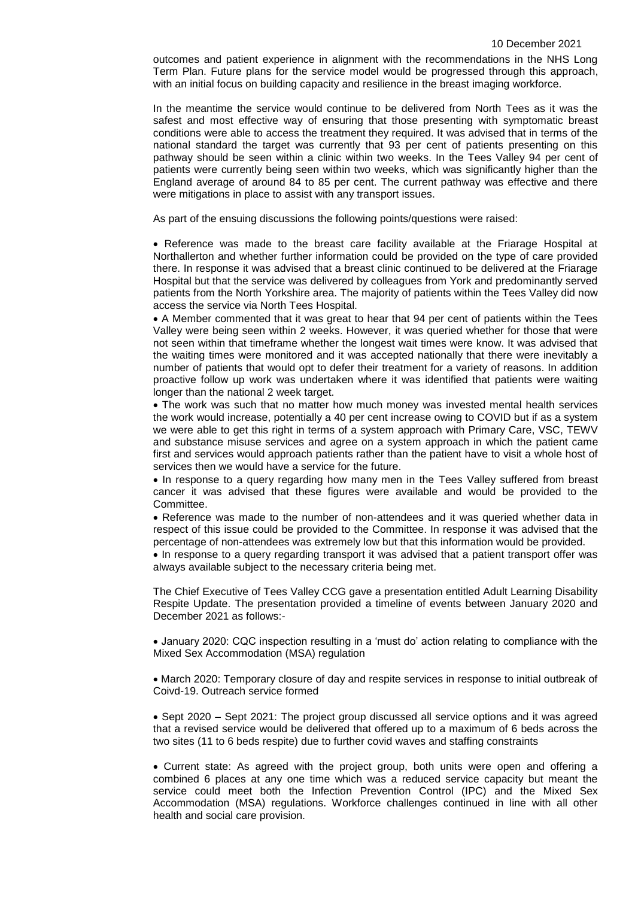outcomes and patient experience in alignment with the recommendations in the NHS Long Term Plan. Future plans for the service model would be progressed through this approach, with an initial focus on building capacity and resilience in the breast imaging workforce.

In the meantime the service would continue to be delivered from North Tees as it was the safest and most effective way of ensuring that those presenting with symptomatic breast conditions were able to access the treatment they required. It was advised that in terms of the national standard the target was currently that 93 per cent of patients presenting on this pathway should be seen within a clinic within two weeks. In the Tees Valley 94 per cent of patients were currently being seen within two weeks, which was significantly higher than the England average of around 84 to 85 per cent. The current pathway was effective and there were mitigations in place to assist with any transport issues.

As part of the ensuing discussions the following points/questions were raised:

 Reference was made to the breast care facility available at the Friarage Hospital at Northallerton and whether further information could be provided on the type of care provided there. In response it was advised that a breast clinic continued to be delivered at the Friarage Hospital but that the service was delivered by colleagues from York and predominantly served patients from the North Yorkshire area. The majority of patients within the Tees Valley did now access the service via North Tees Hospital.

 A Member commented that it was great to hear that 94 per cent of patients within the Tees Valley were being seen within 2 weeks. However, it was queried whether for those that were not seen within that timeframe whether the longest wait times were know. It was advised that the waiting times were monitored and it was accepted nationally that there were inevitably a number of patients that would opt to defer their treatment for a variety of reasons. In addition proactive follow up work was undertaken where it was identified that patients were waiting longer than the national 2 week target.

 The work was such that no matter how much money was invested mental health services the work would increase, potentially a 40 per cent increase owing to COVID but if as a system we were able to get this right in terms of a system approach with Primary Care, VSC, TEWV and substance misuse services and agree on a system approach in which the patient came first and services would approach patients rather than the patient have to visit a whole host of services then we would have a service for the future.

• In response to a query regarding how many men in the Tees Valley suffered from breast cancer it was advised that these figures were available and would be provided to the Committee.

 Reference was made to the number of non-attendees and it was queried whether data in respect of this issue could be provided to the Committee. In response it was advised that the percentage of non-attendees was extremely low but that this information would be provided.

• In response to a query regarding transport it was advised that a patient transport offer was always available subject to the necessary criteria being met.

The Chief Executive of Tees Valley CCG gave a presentation entitled Adult Learning Disability Respite Update. The presentation provided a timeline of events between January 2020 and December 2021 as follows:-

 January 2020: CQC inspection resulting in a 'must do' action relating to compliance with the Mixed Sex Accommodation (MSA) regulation

 March 2020: Temporary closure of day and respite services in response to initial outbreak of Coivd-19. Outreach service formed

• Sept 2020 – Sept 2021: The project group discussed all service options and it was agreed that a revised service would be delivered that offered up to a maximum of 6 beds across the two sites (11 to 6 beds respite) due to further covid waves and staffing constraints

 Current state: As agreed with the project group, both units were open and offering a combined 6 places at any one time which was a reduced service capacity but meant the service could meet both the Infection Prevention Control (IPC) and the Mixed Sex Accommodation (MSA) regulations. Workforce challenges continued in line with all other health and social care provision.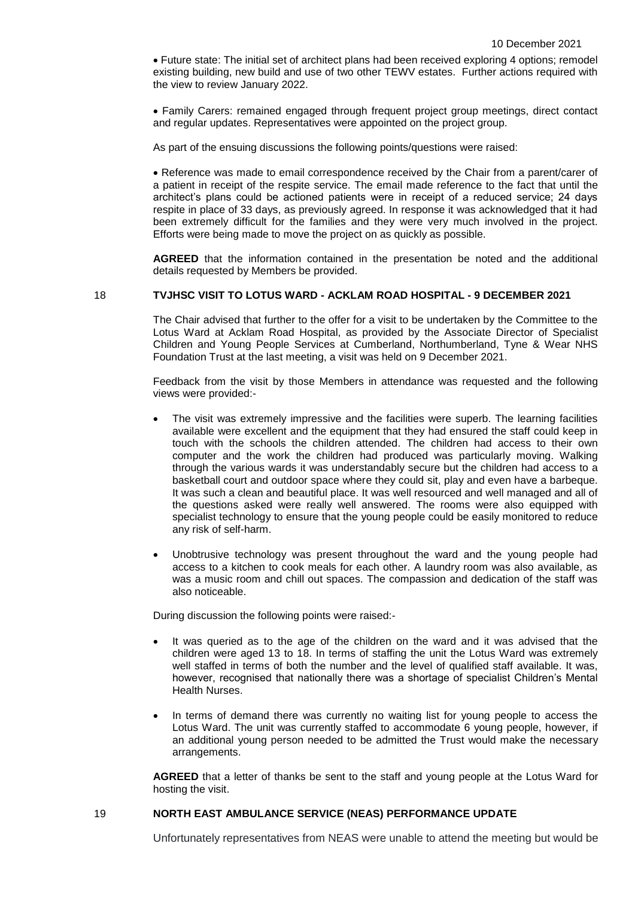Future state: The initial set of architect plans had been received exploring 4 options; remodel existing building, new build and use of two other TEWV estates. Further actions required with the view to review January 2022.

 Family Carers: remained engaged through frequent project group meetings, direct contact and regular updates. Representatives were appointed on the project group.

As part of the ensuing discussions the following points/questions were raised:

 Reference was made to email correspondence received by the Chair from a parent/carer of a patient in receipt of the respite service. The email made reference to the fact that until the architect's plans could be actioned patients were in receipt of a reduced service; 24 days respite in place of 33 days, as previously agreed. In response it was acknowledged that it had been extremely difficult for the families and they were very much involved in the project. Efforts were being made to move the project on as quickly as possible.

**AGREED** that the information contained in the presentation be noted and the additional details requested by Members be provided.

18 **TVJHSC VISIT TO LOTUS WARD - ACKLAM ROAD HOSPITAL - 9 DECEMBER 2021**

The Chair advised that further to the offer for a visit to be undertaken by the Committee to the Lotus Ward at Acklam Road Hospital, as provided by the Associate Director of Specialist Children and Young People Services at Cumberland, Northumberland, Tyne & Wear NHS Foundation Trust at the last meeting, a visit was held on 9 December 2021.

Feedback from the visit by those Members in attendance was requested and the following views were provided:-

- The visit was extremely impressive and the facilities were superb. The learning facilities available were excellent and the equipment that they had ensured the staff could keep in touch with the schools the children attended. The children had access to their own computer and the work the children had produced was particularly moving. Walking through the various wards it was understandably secure but the children had access to a basketball court and outdoor space where they could sit, play and even have a barbeque. It was such a clean and beautiful place. It was well resourced and well managed and all of the questions asked were really well answered. The rooms were also equipped with specialist technology to ensure that the young people could be easily monitored to reduce any risk of self-harm.
- Unobtrusive technology was present throughout the ward and the young people had access to a kitchen to cook meals for each other. A laundry room was also available, as was a music room and chill out spaces. The compassion and dedication of the staff was also noticeable.

During discussion the following points were raised:-

- It was queried as to the age of the children on the ward and it was advised that the children were aged 13 to 18. In terms of staffing the unit the Lotus Ward was extremely well staffed in terms of both the number and the level of qualified staff available. It was, however, recognised that nationally there was a shortage of specialist Children's Mental Health Nurses.
- In terms of demand there was currently no waiting list for young people to access the Lotus Ward. The unit was currently staffed to accommodate 6 young people, however, if an additional young person needed to be admitted the Trust would make the necessary arrangements.

**AGREED** that a letter of thanks be sent to the staff and young people at the Lotus Ward for hosting the visit.

#### 19 **NORTH EAST AMBULANCE SERVICE (NEAS) PERFORMANCE UPDATE**

Unfortunately representatives from NEAS were unable to attend the meeting but would be